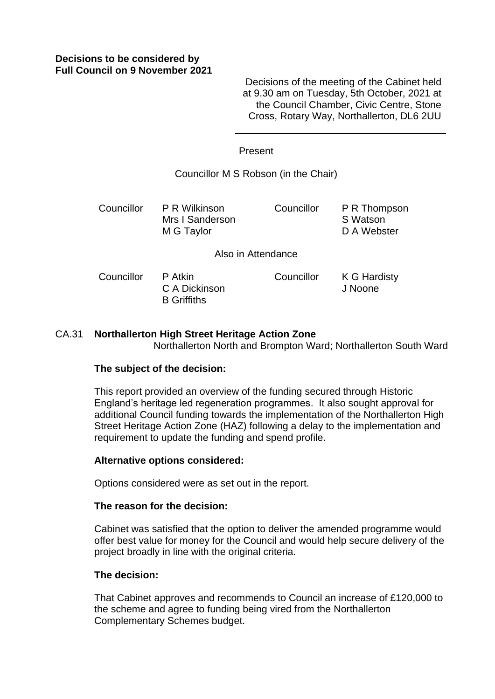## **Decisions to be considered by Full Council on 9 November 2021**

Decisions of the meeting of the Cabinet held at 9.30 am on Tuesday, 5th October, 2021 at the Council Chamber, Civic Centre, Stone Cross, Rotary Way, Northallerton, DL6 2UU

#### Present

### Councillor M S Robson (in the Chair)

Councillor P R Wilkinson Mrs I Sanderson M G Taylor Councillor P R Thompson S Watson D A Webster

Also in Attendance

Councillor P Atkin C A Dickinson B Griffiths Councillor K G Hardisty J Noone

### CA.31 **Northallerton High Street Heritage Action Zone** Northallerton North and Brompton Ward; Northallerton South Ward

#### **The subject of the decision:**

This report provided an overview of the funding secured through Historic England's heritage led regeneration programmes. It also sought approval for additional Council funding towards the implementation of the Northallerton High Street Heritage Action Zone (HAZ) following a delay to the implementation and requirement to update the funding and spend profile.

#### **Alternative options considered:**

Options considered were as set out in the report.

#### **The reason for the decision:**

Cabinet was satisfied that the option to deliver the amended programme would offer best value for money for the Council and would help secure delivery of the project broadly in line with the original criteria.

#### **The decision:**

That Cabinet approves and recommends to Council an increase of £120,000 to the scheme and agree to funding being vired from the Northallerton Complementary Schemes budget.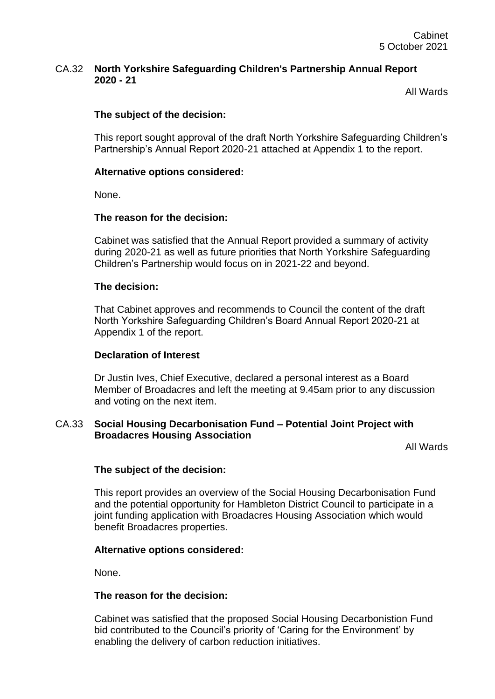## CA.32 **North Yorkshire Safeguarding Children's Partnership Annual Report 2020 - 21**

All Wards

# **The subject of the decision:**

This report sought approval of the draft North Yorkshire Safeguarding Children's Partnership's Annual Report 2020-21 attached at Appendix 1 to the report.

## **Alternative options considered:**

None.

## **The reason for the decision:**

Cabinet was satisfied that the Annual Report provided a summary of activity during 2020-21 as well as future priorities that North Yorkshire Safeguarding Children's Partnership would focus on in 2021-22 and beyond.

## **The decision:**

That Cabinet approves and recommends to Council the content of the draft North Yorkshire Safeguarding Children's Board Annual Report 2020-21 at Appendix 1 of the report.

## **Declaration of Interest**

Dr Justin Ives, Chief Executive, declared a personal interest as a Board Member of Broadacres and left the meeting at 9.45am prior to any discussion and voting on the next item.

## CA.33 **Social Housing Decarbonisation Fund – Potential Joint Project with Broadacres Housing Association**

All Wards

## **The subject of the decision:**

This report provides an overview of the Social Housing Decarbonisation Fund and the potential opportunity for Hambleton District Council to participate in a joint funding application with Broadacres Housing Association which would benefit Broadacres properties.

## **Alternative options considered:**

None.

## **The reason for the decision:**

Cabinet was satisfied that the proposed Social Housing Decarbonistion Fund bid contributed to the Council's priority of 'Caring for the Environment' by enabling the delivery of carbon reduction initiatives.